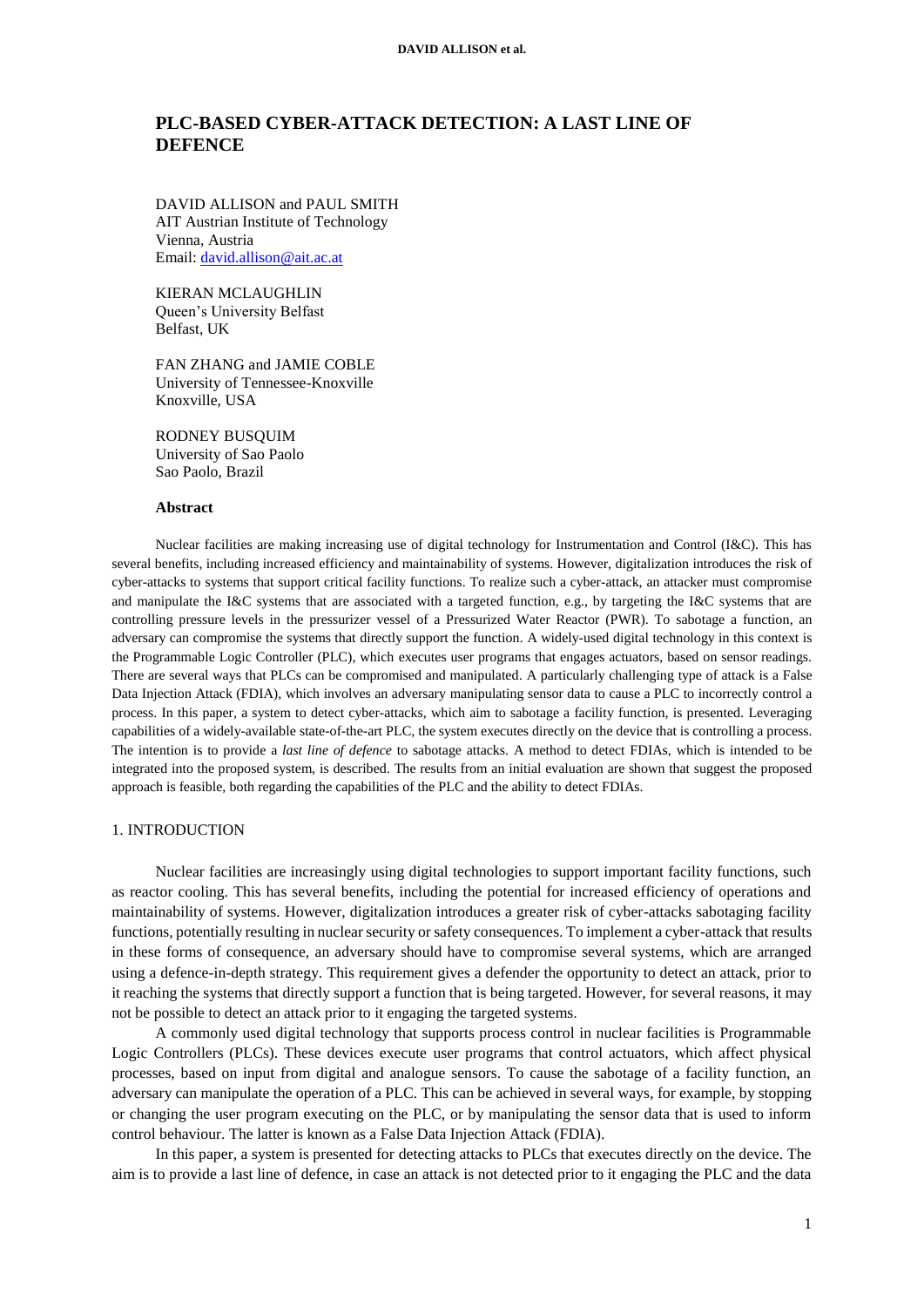# **PLC-BASED CYBER-ATTACK DETECTION: A LAST LINE OF DEFENCE**

DAVID ALLISON and PAUL SMITH AIT Austrian Institute of Technology Vienna, Austria Email: [david.allison@ait.ac.at](mailto:david.allison@ait.ac.at)

KIERAN MCLAUGHLIN Queen's University Belfast Belfast, UK

FAN ZHANG and JAMIE COBLE University of Tennessee-Knoxville Knoxville, USA

RODNEY BUSQUIM University of Sao Paolo Sao Paolo, Brazil

# **Abstract**

Nuclear facilities are making increasing use of digital technology for Instrumentation and Control (I&C). This has several benefits, including increased efficiency and maintainability of systems. However, digitalization introduces the risk of cyber-attacks to systems that support critical facility functions. To realize such a cyber-attack, an attacker must compromise and manipulate the I&C systems that are associated with a targeted function, e.g., by targeting the I&C systems that are controlling pressure levels in the pressurizer vessel of a Pressurized Water Reactor (PWR). To sabotage a function, an adversary can compromise the systems that directly support the function. A widely-used digital technology in this context is the Programmable Logic Controller (PLC), which executes user programs that engages actuators, based on sensor readings. There are several ways that PLCs can be compromised and manipulated. A particularly challenging type of attack is a False Data Injection Attack (FDIA), which involves an adversary manipulating sensor data to cause a PLC to incorrectly control a process. In this paper, a system to detect cyber-attacks, which aim to sabotage a facility function, is presented. Leveraging capabilities of a widely-available state-of-the-art PLC, the system executes directly on the device that is controlling a process. The intention is to provide a *last line of defence* to sabotage attacks. A method to detect FDIAs, which is intended to be integrated into the proposed system, is described. The results from an initial evaluation are shown that suggest the proposed approach is feasible, both regarding the capabilities of the PLC and the ability to detect FDIAs.

# 1. INTRODUCTION

Nuclear facilities are increasingly using digital technologies to support important facility functions, such as reactor cooling. This has several benefits, including the potential for increased efficiency of operations and maintainability of systems. However, digitalization introduces a greater risk of cyber-attacks sabotaging facility functions, potentially resulting in nuclear security or safety consequences. To implement a cyber-attack that results in these forms of consequence, an adversary should have to compromise several systems, which are arranged using a defence-in-depth strategy. This requirement gives a defender the opportunity to detect an attack, prior to it reaching the systems that directly support a function that is being targeted. However, for several reasons, it may not be possible to detect an attack prior to it engaging the targeted systems.

A commonly used digital technology that supports process control in nuclear facilities is Programmable Logic Controllers (PLCs). These devices execute user programs that control actuators, which affect physical processes, based on input from digital and analogue sensors. To cause the sabotage of a facility function, an adversary can manipulate the operation of a PLC. This can be achieved in several ways, for example, by stopping or changing the user program executing on the PLC, or by manipulating the sensor data that is used to inform control behaviour. The latter is known as a False Data Injection Attack (FDIA).

In this paper, a system is presented for detecting attacks to PLCs that executes directly on the device. The aim is to provide a last line of defence, in case an attack is not detected prior to it engaging the PLC and the data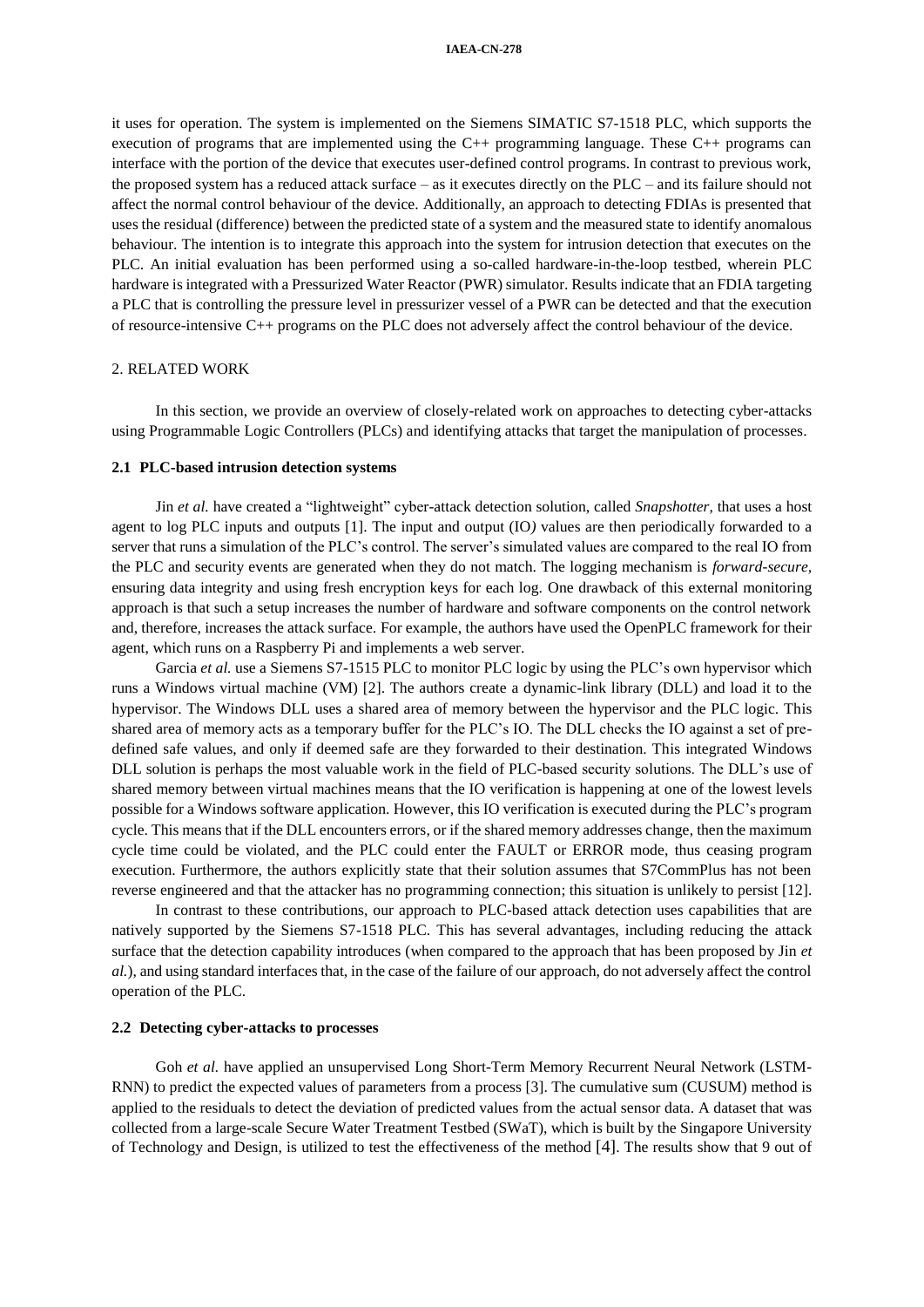it uses for operation. The system is implemented on the Siemens SIMATIC S7-1518 PLC, which supports the execution of programs that are implemented using the C++ programming language. These C++ programs can interface with the portion of the device that executes user-defined control programs. In contrast to previous work, the proposed system has a reduced attack surface – as it executes directly on the PLC – and its failure should not affect the normal control behaviour of the device. Additionally, an approach to detecting FDIAs is presented that uses the residual (difference) between the predicted state of a system and the measured state to identify anomalous behaviour. The intention is to integrate this approach into the system for intrusion detection that executes on the PLC. An initial evaluation has been performed using a so-called hardware-in-the-loop testbed, wherein PLC hardware is integrated with a Pressurized Water Reactor (PWR) simulator. Results indicate that an FDIA targeting a PLC that is controlling the pressure level in pressurizer vessel of a PWR can be detected and that the execution of resource-intensive C++ programs on the PLC does not adversely affect the control behaviour of the device.

# 2. RELATED WORK

In this section, we provide an overview of closely-related work on approaches to detecting cyber-attacks using Programmable Logic Controllers (PLCs) and identifying attacks that target the manipulation of processes.

# **2.1 PLC-based intrusion detection systems**

Jin *et al.* have created a "lightweight" cyber-attack detection solution, called *Snapshotter*, that uses a host agent to log PLC inputs and outputs [\[1\].](#page-9-0) The input and output (IO*)* values are then periodically forwarded to a server that runs a simulation of the PLC's control. The server's simulated values are compared to the real IO from the PLC and security events are generated when they do not match. The logging mechanism is *forward-secure,* ensuring data integrity and using fresh encryption keys for each log. One drawback of this external monitoring approach is that such a setup increases the number of hardware and software components on the control network and, therefore, increases the attack surface. For example, the authors have used the OpenPLC framework for their agent, which runs on a Raspberry Pi and implements a web server.

Garcia et al. use a Siemens S7-1515 PLC to monitor PLC logic by using the PLC's own hypervisor which runs a Windows virtual machine (VM) [\[2\].](#page-9-1) The authors create a dynamic-link library (DLL) and load it to the hypervisor. The Windows DLL uses a shared area of memory between the hypervisor and the PLC logic. This shared area of memory acts as a temporary buffer for the PLC's IO. The DLL checks the IO against a set of predefined safe values, and only if deemed safe are they forwarded to their destination. This integrated Windows DLL solution is perhaps the most valuable work in the field of PLC-based security solutions. The DLL's use of shared memory between virtual machines means that the IO verification is happening at one of the lowest levels possible for a Windows software application. However, this IO verification is executed during the PLC's program cycle. This means that if the DLL encounters errors, or if the shared memory addresses change, then the maximum cycle time could be violated, and the PLC could enter the FAULT or ERROR mode, thus ceasing program execution. Furthermore, the authors explicitly state that their solution assumes that S7CommPlus has not been reverse engineered and that the attacker has no programming connection; this situation is unlikely to persist [\[12\].](#page-9-2)

In contrast to these contributions, our approach to PLC-based attack detection uses capabilities that are natively supported by the Siemens S7-1518 PLC. This has several advantages, including reducing the attack surface that the detection capability introduces (when compared to the approach that has been proposed by Jin *et al.*), and using standard interfaces that, in the case of the failure of our approach, do not adversely affect the control operation of the PLC.

### **2.2 Detecting cyber-attacks to processes**

Goh *et al.* have applied an unsupervised Long Short-Term Memory Recurrent Neural Network (LSTM-RNN) to predict the expected values of parameters from a process [\[3\].](#page-9-3) The cumulative sum (CUSUM) method is applied to the residuals to detect the deviation of predicted values from the actual sensor data. A dataset that was collected from a large-scale Secure Water Treatment Testbed (SWaT), which is built by the Singapore University of Technology and Design, is utilized to test the effectiveness of the method [4]. The results show that 9 out of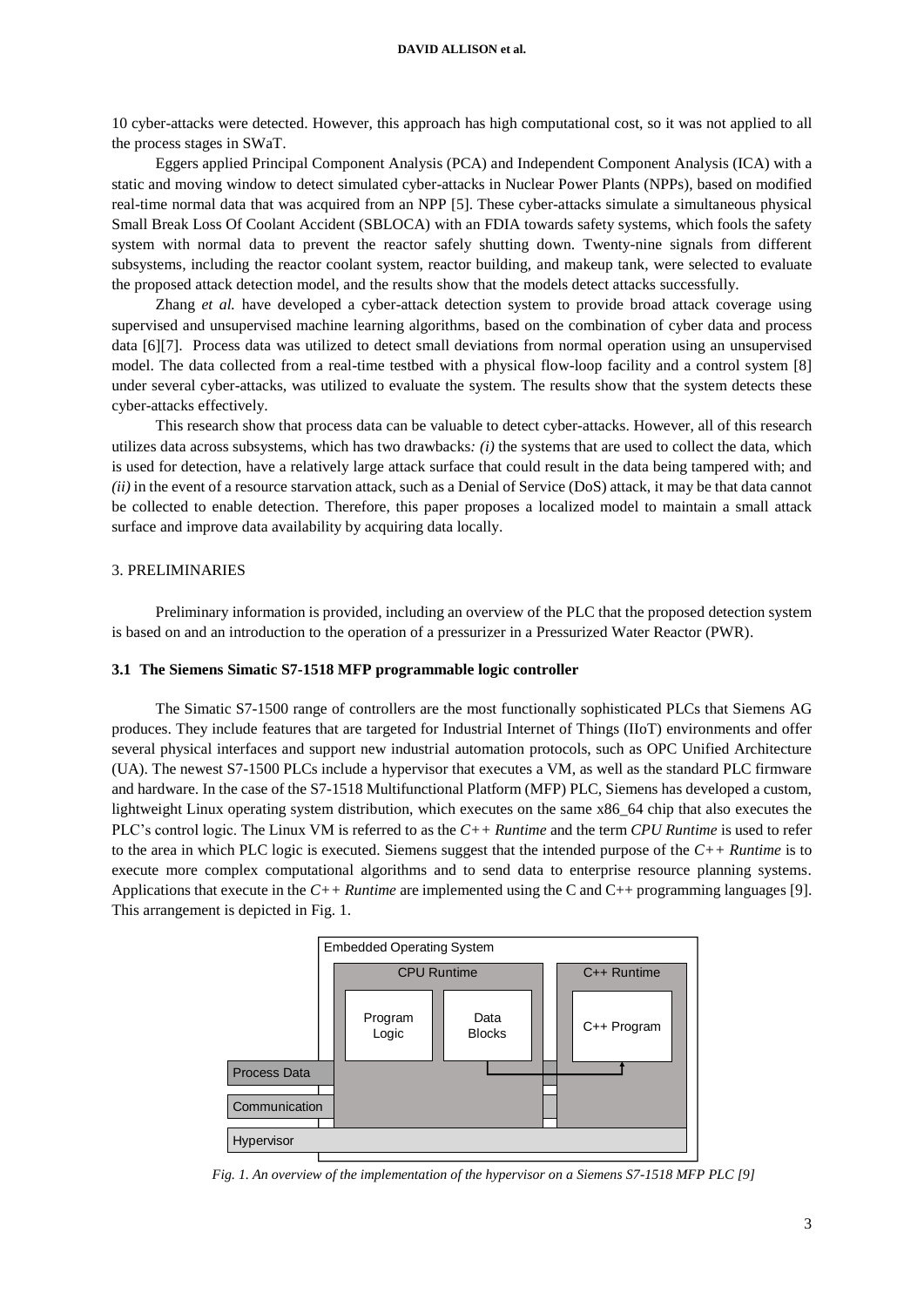10 cyber-attacks were detected. However, this approach has high computational cost, so it was not applied to all the process stages in SWaT.

Eggers applied Principal Component Analysis (PCA) and Independent Component Analysis (ICA) with a static and moving window to detect simulated cyber-attacks in Nuclear Power Plants (NPPs), based on modified real-time normal data that was acquired from an NPP [\[5\].](#page-9-4) These cyber-attacks simulate a simultaneous physical Small Break Loss Of Coolant Accident (SBLOCA) with an FDIA towards safety systems, which fools the safety system with normal data to prevent the reactor safely shutting down. Twenty-nine signals from different subsystems, including the reactor coolant system, reactor building, and makeup tank, were selected to evaluate the proposed attack detection model, and the results show that the models detect attacks successfully.

Zhang *et al.* have developed a cyber-attack detection system to provide broad attack coverage using supervised and unsupervised machine learning algorithms, based on the combination of cyber data and process data [\[6\]](#page-9-5)[\[7\].](#page-9-6) Process data was utilized to detect small deviations from normal operation using an unsupervised model. The data collected from a real-time testbed with a physical flow-loop facility and a control system [\[8\]](#page-9-7) under several cyber-attacks, was utilized to evaluate the system. The results show that the system detects these cyber-attacks effectively.

This research show that process data can be valuable to detect cyber-attacks. However, all of this research utilizes data across subsystems, which has two drawbacks*: (i)* the systems that are used to collect the data, which is used for detection, have a relatively large attack surface that could result in the data being tampered with; and *(ii)* in the event of a resource starvation attack, such as a Denial of Service (DoS) attack, it may be that data cannot be collected to enable detection. Therefore, this paper proposes a localized model to maintain a small attack surface and improve data availability by acquiring data locally.

# 3. PRELIMINARIES

Preliminary information is provided, including an overview of the PLC that the proposed detection system is based on and an introduction to the operation of a pressurizer in a Pressurized Water Reactor (PWR).

# <span id="page-2-1"></span>**3.1 The Siemens Simatic S7-1518 MFP programmable logic controller**

The Simatic S7-1500 range of controllers are the most functionally sophisticated PLCs that Siemens AG produces. They include features that are targeted for Industrial Internet of Things (IIoT) environments and offer several physical interfaces and support new industrial automation protocols, such as OPC Unified Architecture (UA). The newest S7-1500 PLCs include a hypervisor that executes a VM, as well as the standard PLC firmware and hardware. In the case of the S7-1518 Multifunctional Platform (MFP) PLC, Siemens has developed a custom, lightweight Linux operating system distribution, which executes on the same x86\_64 chip that also executes the PLC's control logic. The Linux VM is referred to as the *C++ Runtime* and the term *CPU Runtime* is used to refer to the area in which PLC logic is executed. Siemens suggest that the intended purpose of the *C++ Runtime* is to execute more complex computational algorithms and to send data to enterprise resource planning systems. Applications that execute in the *C++ Runtime* are implemented using the C and C++ programming languages [\[9\].](#page-9-8) This arrangement is depicted in [Fig.](#page-2-0) 1.



<span id="page-2-0"></span>*Fig. 1. An overview of the implementation of the hypervisor on a Siemens S7-1518 MFP PLC [\[9\]](#page-9-9)*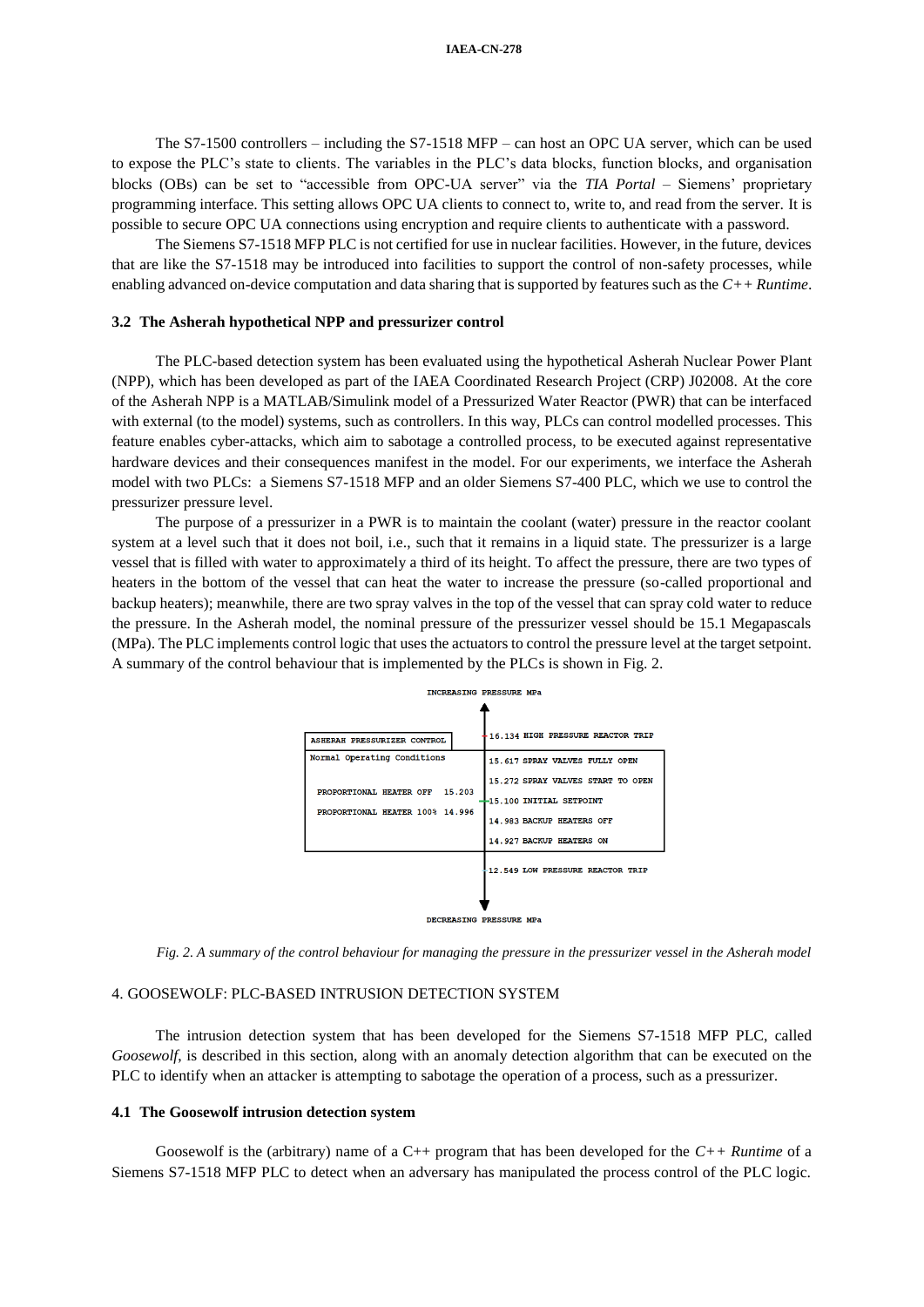The S7-1500 controllers – including the S7-1518 MFP – can host an OPC UA server, which can be used to expose the PLC's state to clients. The variables in the PLC's data blocks, function blocks, and organisation blocks (OBs) can be set to "accessible from OPC-UA server" via the *TIA Portal* – Siemens' proprietary programming interface. This setting allows OPC UA clients to connect to, write to, and read from the server. It is possible to secure OPC UA connections using encryption and require clients to authenticate with a password.

The Siemens S7-1518 MFP PLC is not certified for use in nuclear facilities. However, in the future, devices that are like the S7-1518 may be introduced into facilities to support the control of non-safety processes, while enabling advanced on-device computation and data sharing that is supported by features such as the *C++ Runtime*.

### <span id="page-3-1"></span>**3.2 The Asherah hypothetical NPP and pressurizer control**

The PLC-based detection system has been evaluated using the hypothetical Asherah Nuclear Power Plant (NPP), which has been developed as part of the IAEA Coordinated Research Project (CRP) J02008. At the core of the Asherah NPP is a MATLAB/Simulink model of a Pressurized Water Reactor (PWR) that can be interfaced with external (to the model) systems, such as controllers. In this way, PLCs can control modelled processes. This feature enables cyber-attacks, which aim to sabotage a controlled process, to be executed against representative hardware devices and their consequences manifest in the model. For our experiments, we interface the Asherah model with two PLCs: a Siemens S7-1518 MFP and an older Siemens S7-400 PLC, which we use to control the pressurizer pressure level.

The purpose of a pressurizer in a PWR is to maintain the coolant (water) pressure in the reactor coolant system at a level such that it does not boil, i.e., such that it remains in a liquid state. The pressurizer is a large vessel that is filled with water to approximately a third of its height. To affect the pressure, there are two types of heaters in the bottom of the vessel that can heat the water to increase the pressure (so-called proportional and backup heaters); meanwhile, there are two spray valves in the top of the vessel that can spray cold water to reduce the pressure. In the Asherah model, the nominal pressure of the pressurizer vessel should be 15.1 Megapascals (MPa). The PLC implements control logic that uses the actuators to control the pressure level at the target setpoint. A summary of the control behaviour that is implemented by the PLCs is shown i[n Fig.](#page-3-0) 2.



*Fig. 2. A summary of the control behaviour for managing the pressure in the pressurizer vessel in the Asherah model*

# <span id="page-3-0"></span>4. GOOSEWOLF: PLC-BASED INTRUSION DETECTION SYSTEM

The intrusion detection system that has been developed for the Siemens S7-1518 MFP PLC, called *Goosewolf*, is described in this section, along with an anomaly detection algorithm that can be executed on the PLC to identify when an attacker is attempting to sabotage the operation of a process, such as a pressurizer.

### **4.1 The Goosewolf intrusion detection system**

Goosewolf is the (arbitrary) name of a C++ program that has been developed for the *C++ Runtime* of a Siemens S7-1518 MFP PLC to detect when an adversary has manipulated the process control of the PLC logic.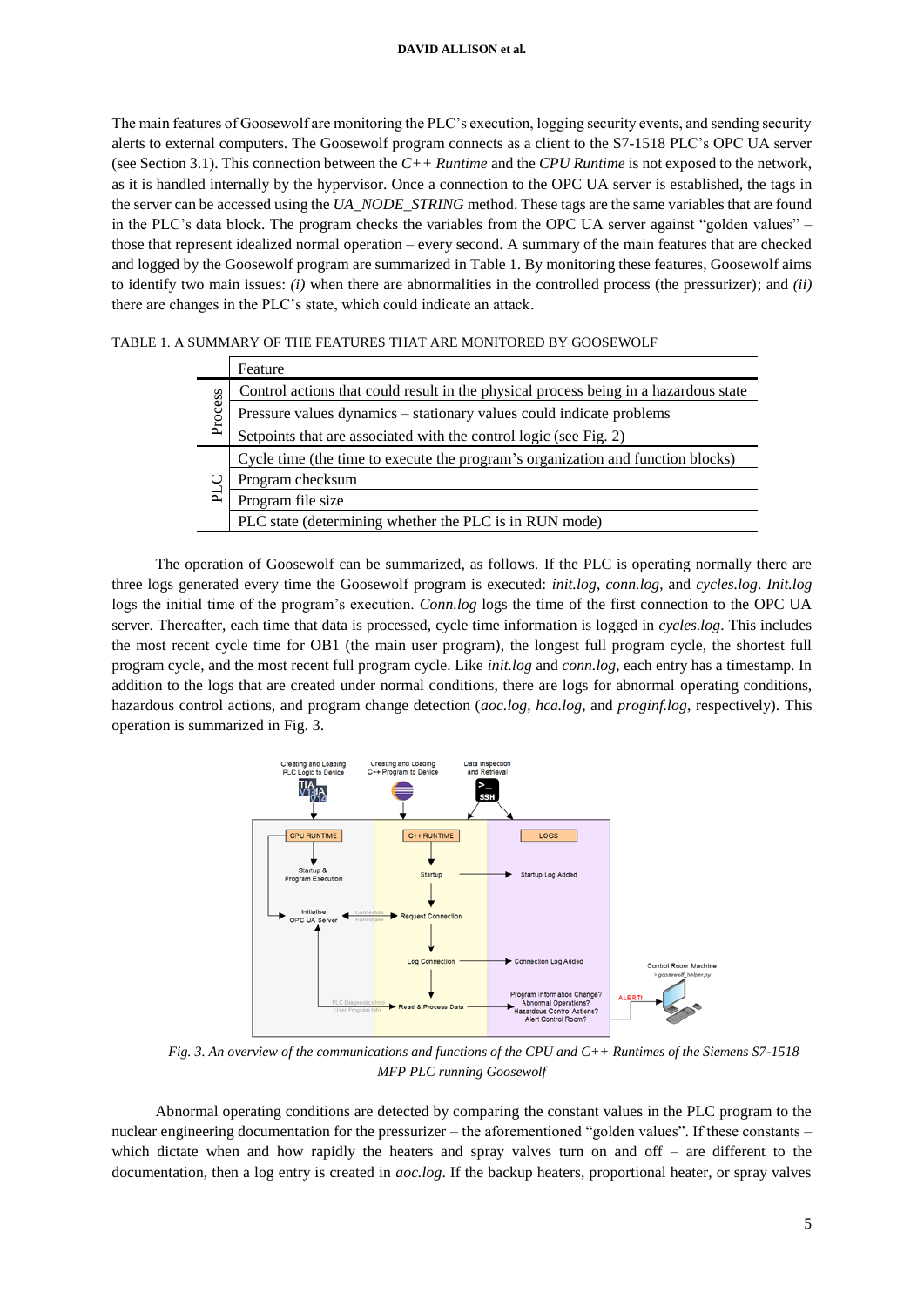#### **DAVID ALLISON et al.**

The main features of Goosewolf are monitoring the PLC's execution, logging security events, and sending security alerts to external computers. The Goosewolf program connects as a client to the S7-1518 PLC's OPC UA server (see Section [3.1\)](#page-2-1). This connection between the *C++ Runtime* and the *CPU Runtime* is not exposed to the network, as it is handled internally by the hypervisor. Once a connection to the OPC UA server is established, the tags in the server can be accessed using the *UA\_NODE\_STRING* method. These tags are the same variables that are found in the PLC's data block. The program checks the variables from the OPC UA server against "golden values" – those that represent idealized normal operation – every second. A summary of the main features that are checked and logged by the Goosewolf program are summarized in Table 1. By monitoring these features, Goosewolf aims to identify two main issues: *(i)* when there are abnormalities in the controlled process (the pressurizer); and *(ii)*  there are changes in the PLC's state, which could indicate an attack.

|  |  |  | TABLE 1. A SUMMARY OF THE FEATURES THAT ARE MONITORED BY GOOSEWOLF |  |
|--|--|--|--------------------------------------------------------------------|--|
|--|--|--|--------------------------------------------------------------------|--|

|         | Feature                                                                              |  |  |
|---------|--------------------------------------------------------------------------------------|--|--|
|         | Control actions that could result in the physical process being in a hazardous state |  |  |
| Process | Pressure values dynamics – stationary values could indicate problems                 |  |  |
|         | Setpoints that are associated with the control logic (see Fig. 2)                    |  |  |
|         | Cycle time (the time to execute the program's organization and function blocks)      |  |  |
|         | Program checksum                                                                     |  |  |
| 运       | Program file size                                                                    |  |  |
|         | PLC state (determining whether the PLC is in RUN mode)                               |  |  |

The operation of Goosewolf can be summarized, as follows. If the PLC is operating normally there are three logs generated every time the Goosewolf program is executed: *init.log*, *conn.log*, and *cycles.log*. *Init.log* logs the initial time of the program's execution. *Conn.log* logs the time of the first connection to the OPC UA server. Thereafter, each time that data is processed, cycle time information is logged in *cycles.log*. This includes the most recent cycle time for OB1 (the main user program), the longest full program cycle, the shortest full program cycle, and the most recent full program cycle. Like *init.log* and *conn.log*, each entry has a timestamp. In addition to the logs that are created under normal conditions, there are logs for abnormal operating conditions, hazardous control actions, and program change detection (*aoc.log*, *hca.log*, and *proginf.log*, respectively). This operation is summarized in [Fig.](#page-4-0) 3.



<span id="page-4-0"></span>*Fig. 3. An overview of the communications and functions of the CPU and C++ Runtimes of the Siemens S7-1518 MFP PLC running Goosewolf*

Abnormal operating conditions are detected by comparing the constant values in the PLC program to the nuclear engineering documentation for the pressurizer – the aforementioned "golden values". If these constants – which dictate when and how rapidly the heaters and spray valves turn on and off – are different to the documentation, then a log entry is created in *aoc.log*. If the backup heaters, proportional heater, or spray valves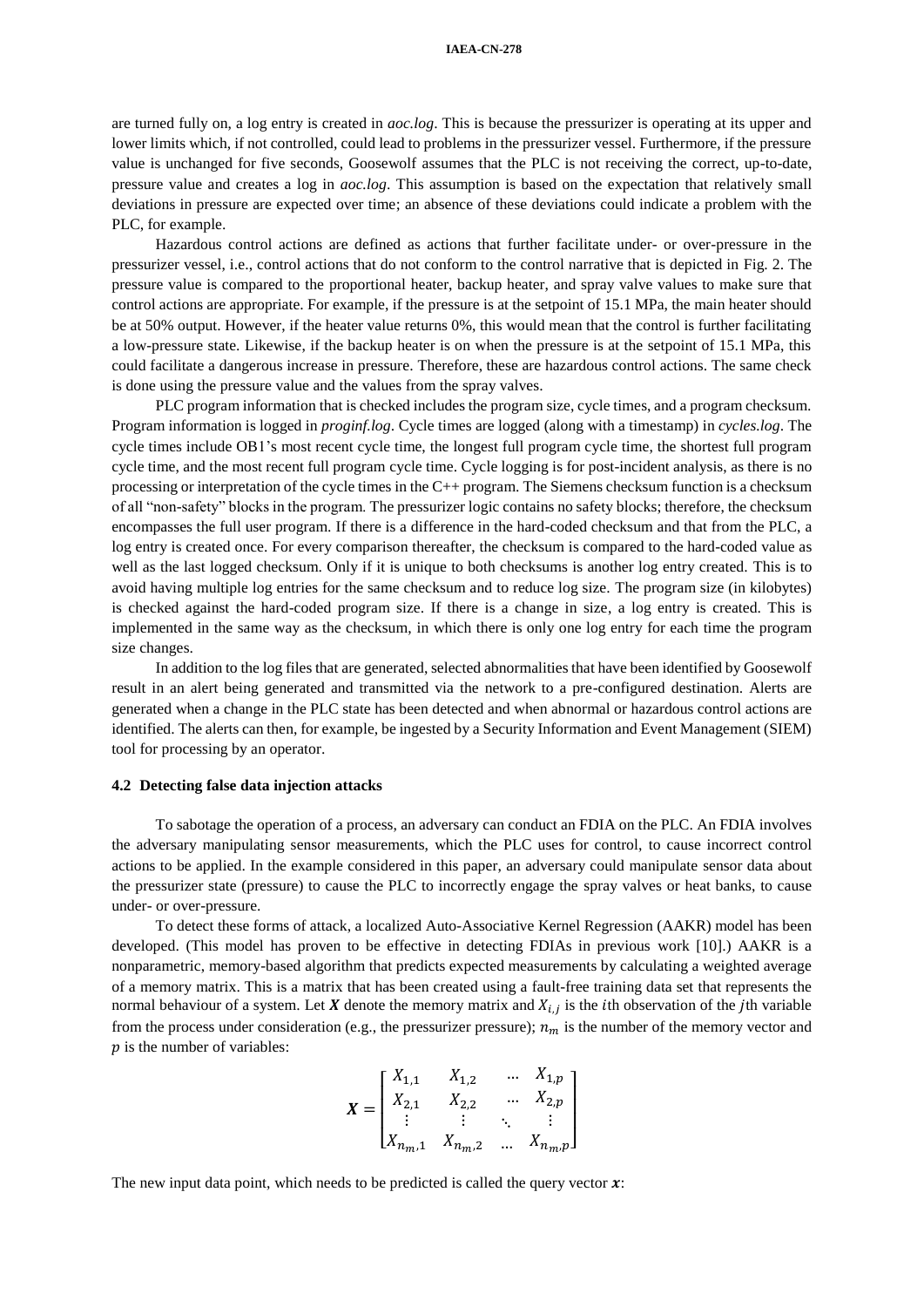are turned fully on, a log entry is created in *aoc.log*. This is because the pressurizer is operating at its upper and lower limits which, if not controlled, could lead to problems in the pressurizer vessel. Furthermore, if the pressure value is unchanged for five seconds, Goosewolf assumes that the PLC is not receiving the correct, up-to-date, pressure value and creates a log in *aoc.log*. This assumption is based on the expectation that relatively small deviations in pressure are expected over time; an absence of these deviations could indicate a problem with the PLC, for example.

Hazardous control actions are defined as actions that further facilitate under- or over-pressure in the pressurizer vessel, i.e., control actions that do not conform to the control narrative that is depicted in [Fig.](#page-3-0) 2. The pressure value is compared to the proportional heater, backup heater, and spray valve values to make sure that control actions are appropriate. For example, if the pressure is at the setpoint of 15.1 MPa, the main heater should be at 50% output. However, if the heater value returns 0%, this would mean that the control is further facilitating a low-pressure state. Likewise, if the backup heater is on when the pressure is at the setpoint of 15.1 MPa, this could facilitate a dangerous increase in pressure. Therefore, these are hazardous control actions. The same check is done using the pressure value and the values from the spray valves.

PLC program information that is checked includes the program size, cycle times, and a program checksum. Program information is logged in *proginf.log*. Cycle times are logged (along with a timestamp) in *cycles.log*. The cycle times include OB1's most recent cycle time, the longest full program cycle time, the shortest full program cycle time, and the most recent full program cycle time. Cycle logging is for post-incident analysis, as there is no processing or interpretation of the cycle times in the C++ program. The Siemens checksum function is a checksum of all "non-safety" blocks in the program. The pressurizer logic contains no safety blocks; therefore, the checksum encompasses the full user program. If there is a difference in the hard-coded checksum and that from the PLC, a log entry is created once. For every comparison thereafter, the checksum is compared to the hard-coded value as well as the last logged checksum. Only if it is unique to both checksums is another log entry created. This is to avoid having multiple log entries for the same checksum and to reduce log size. The program size (in kilobytes) is checked against the hard-coded program size. If there is a change in size, a log entry is created. This is implemented in the same way as the checksum, in which there is only one log entry for each time the program size changes.

In addition to the log files that are generated, selected abnormalities that have been identified by Goosewolf result in an alert being generated and transmitted via the network to a pre-configured destination. Alerts are generated when a change in the PLC state has been detected and when abnormal or hazardous control actions are identified. The alerts can then, for example, be ingested by a Security Information and Event Management (SIEM) tool for processing by an operator.

### <span id="page-5-0"></span>**4.2 Detecting false data injection attacks**

To sabotage the operation of a process, an adversary can conduct an FDIA on the PLC. An FDIA involves the adversary manipulating sensor measurements, which the PLC uses for control, to cause incorrect control actions to be applied. In the example considered in this paper, an adversary could manipulate sensor data about the pressurizer state (pressure) to cause the PLC to incorrectly engage the spray valves or heat banks, to cause under- or over-pressure.

To detect these forms of attack, a localized Auto-Associative Kernel Regression (AAKR) model has been developed. (This model has proven to be effective in detecting FDIAs in previous work [\[10\].](#page-9-10)) AAKR is a nonparametric, memory-based algorithm that predicts expected measurements by calculating a weighted average of a memory matrix. This is a matrix that has been created using a fault-free training data set that represents the normal behaviour of a system. Let  $X$  denote the memory matrix and  $X_{i,j}$  is the *i*th observation of the *j*th variable from the process under consideration (e.g., the pressurizer pressure);  $n<sub>m</sub>$  is the number of the memory vector and  $p$  is the number of variables:

$$
\boldsymbol{X} = \begin{bmatrix} X_{1,1} & X_{1,2} & \cdots & X_{1,p} \\ X_{2,1} & X_{2,2} & \cdots & X_{2,p} \\ \vdots & \vdots & \ddots & \vdots \\ X_{n_m,1} & X_{n_m,2} & \cdots & X_{n_m,p} \end{bmatrix}
$$

The new input data point, which needs to be predicted is called the query vector  $\boldsymbol{x}$ :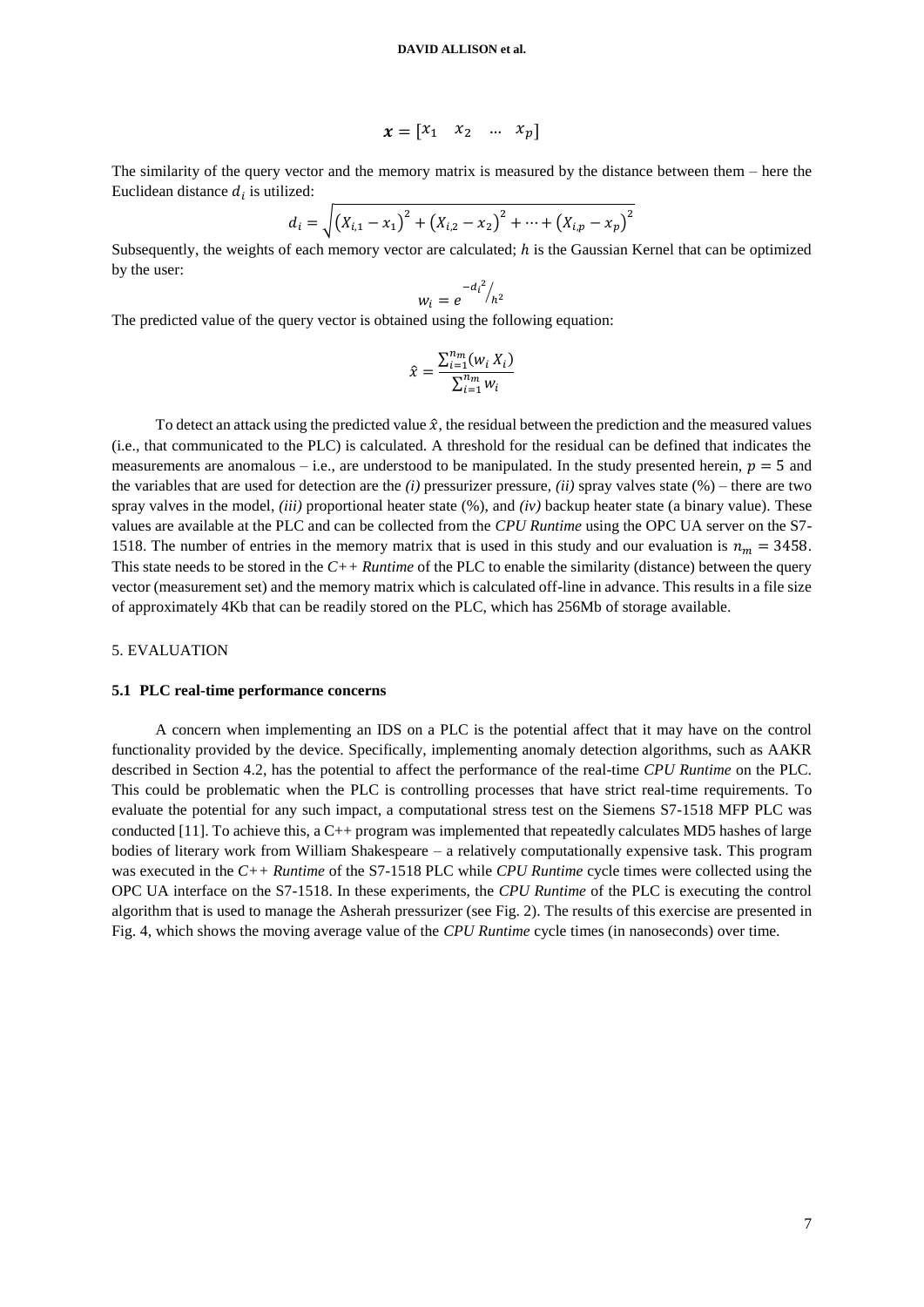### **DAVID ALLISON et al.**

$$
\mathbf{x} = \begin{bmatrix} x_1 & x_2 & \dots & x_p \end{bmatrix}
$$

The similarity of the query vector and the memory matrix is measured by the distance between them – here the Euclidean distance  $d_i$  is utilized:

$$
d_i = \sqrt{(X_{i,1} - x_1)^2 + (X_{i,2} - x_2)^2 + \dots + (X_{i,p} - x_p)^2}
$$

Subsequently, the weights of each memory vector are calculated; h is the Gaussian Kernel that can be optimized by the user:

$$
w_i = e^{-d_i^2}/h^2
$$

The predicted value of the query vector is obtained using the following equation:

$$
\hat{x} = \frac{\sum_{i=1}^{n_m} (w_i X_i)}{\sum_{i=1}^{n_m} w_i}
$$

To detect an attack using the predicted value  $\hat{x}$ , the residual between the prediction and the measured values (i.e., that communicated to the PLC) is calculated. A threshold for the residual can be defined that indicates the measurements are anomalous – i.e., are understood to be manipulated. In the study presented herein,  $p = 5$  and the variables that are used for detection are the *(i)* pressurizer pressure, *(ii)* spray valves state  $(\%)$  – there are two spray valves in the model, *(iii)* proportional heater state (%), and *(iv)* backup heater state (a binary value). These values are available at the PLC and can be collected from the *CPU Runtime* using the OPC UA server on the S7- 1518. The number of entries in the memory matrix that is used in this study and our evaluation is  $n_m = 3458$ . This state needs to be stored in the *C++ Runtime* of the PLC to enable the similarity (distance) between the query vector (measurement set) and the memory matrix which is calculated off-line in advance. This results in a file size of approximately 4Kb that can be readily stored on the PLC, which has 256Mb of storage available.

# 5. EVALUATION

#### **5.1 PLC real-time performance concerns**

A concern when implementing an IDS on a PLC is the potential affect that it may have on the control functionality provided by the device. Specifically, implementing anomaly detection algorithms, such as AAKR described in Section [4.2,](#page-5-0) has the potential to affect the performance of the real-time *CPU Runtime* on the PLC. This could be problematic when the PLC is controlling processes that have strict real-time requirements. To evaluate the potential for any such impact, a computational stress test on the Siemens S7-1518 MFP PLC was conducted [\[11\].](#page-9-11) To achieve this, a C++ program was implemented that repeatedly calculates MD5 hashes of large bodies of literary work from William Shakespeare – a relatively computationally expensive task. This program was executed in the *C++ Runtime* of the S7-1518 PLC while *CPU Runtime* cycle times were collected using the OPC UA interface on the S7-1518. In these experiments, the *CPU Runtime* of the PLC is executing the control algorithm that is used to manage the Asherah pressurizer (see [Fig.](#page-3-0) 2). The results of this exercise are presented in [Fig.](#page-7-0) 4, which shows the moving average value of the *CPU Runtime* cycle times (in nanoseconds) over time.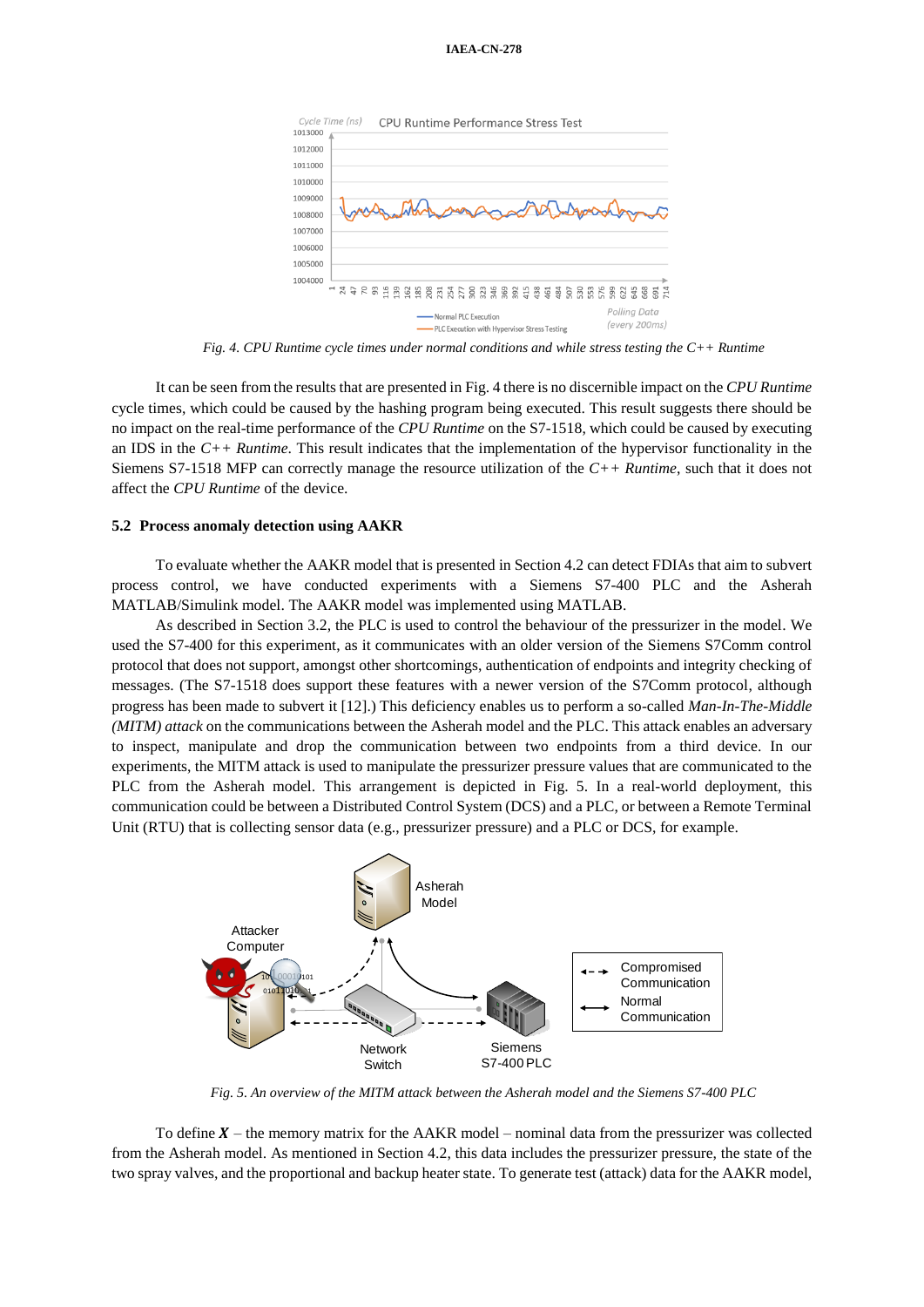| Cycle Time (ns)<br>CPU Runtime Performance Stress Test<br>1013000                                       |
|---------------------------------------------------------------------------------------------------------|
| 1012000                                                                                                 |
| 1011000                                                                                                 |
| 1010000                                                                                                 |
| 1009000                                                                                                 |
| 1008000                                                                                                 |
| 1007000                                                                                                 |
| 1006000                                                                                                 |
| 1005000                                                                                                 |
| 1004000                                                                                                 |
|                                                                                                         |
| Polling Data<br>Normal PLC Execution<br>(every 200ms)<br>- PLC Execution with Hypervisor Stress Testing |

*Fig. 4. CPU Runtime cycle times under normal conditions and while stress testing the C++ Runtime*

<span id="page-7-0"></span>It can be seen from the results that are presented in [Fig.](#page-7-0) 4 there is no discernible impact on the *CPU Runtime* cycle times, which could be caused by the hashing program being executed. This result suggests there should be no impact on the real-time performance of the *CPU Runtime* on the S7-1518, which could be caused by executing an IDS in the *C++ Runtime*. This result indicates that the implementation of the hypervisor functionality in the Siemens S7-1518 MFP can correctly manage the resource utilization of the *C++ Runtime*, such that it does not affect the *CPU Runtime* of the device.

# **5.2 Process anomaly detection using AAKR**

To evaluate whether the AAKR model that is presented in Sectio[n 4.2](#page-5-0) can detect FDIAs that aim to subvert process control, we have conducted experiments with a Siemens S7-400 PLC and the Asherah MATLAB/Simulink model. The AAKR model was implemented using MATLAB.

As described in Section [3.2,](#page-3-1) the PLC is used to control the behaviour of the pressurizer in the model. We used the S7-400 for this experiment, as it communicates with an older version of the Siemens S7Comm control protocol that does not support, amongst other shortcomings, authentication of endpoints and integrity checking of messages. (The S7-1518 does support these features with a newer version of the S7Comm protocol, although progress has been made to subvert it [\[12\].](#page-9-2)) This deficiency enables us to perform a so-called *Man-In-The-Middle (MITM) attack* on the communications between the Asherah model and the PLC. This attack enables an adversary to inspect, manipulate and drop the communication between two endpoints from a third device. In our experiments, the MITM attack is used to manipulate the pressurizer pressure values that are communicated to the PLC from the Asherah model. This arrangement is depicted in [Fig. 5.](#page-7-1) In a real-world deployment, this communication could be between a Distributed Control System (DCS) and a PLC, or between a Remote Terminal Unit (RTU) that is collecting sensor data (e.g., pressurizer pressure) and a PLC or DCS, for example.



<span id="page-7-1"></span>*Fig. 5. An overview of the MITM attack between the Asherah model and the Siemens S7-400 PLC*

To define  $X$  – the memory matrix for the AAKR model – nominal data from the pressurizer was collected from the Asherah model. As mentioned in Sectio[n 4.2,](#page-5-0) this data includes the pressurizer pressure, the state of the two spray valves, and the proportional and backup heater state. To generate test (attack) data for the AAKR model,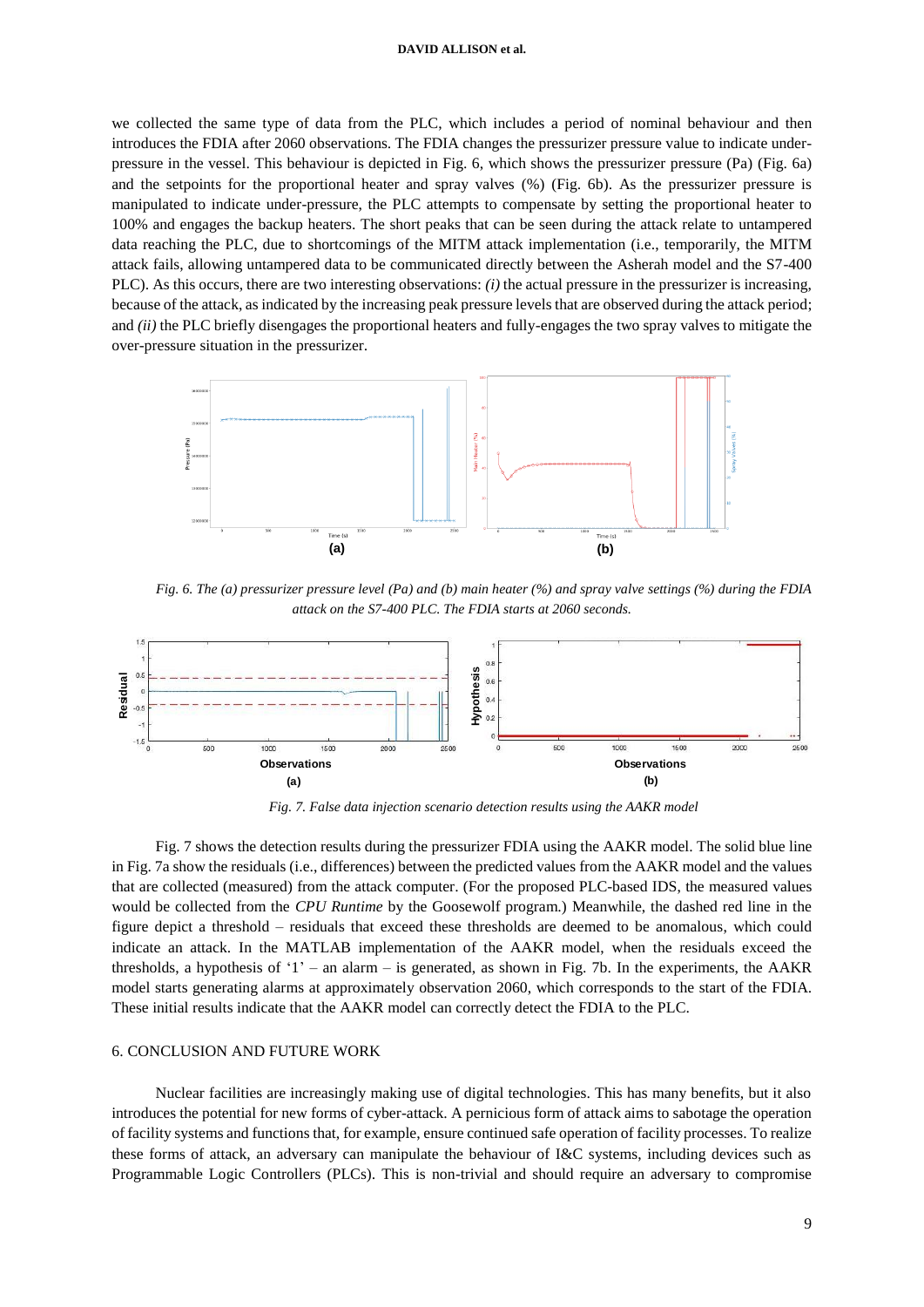### **DAVID ALLISON et al.**

we collected the same type of data from the PLC, which includes a period of nominal behaviour and then introduces the FDIA after 2060 observations. The FDIA changes the pressurizer pressure value to indicate underpressure in the vessel. This behaviour is depicted in [Fig.](#page-8-0) 6, which shows the pressurizer pressure (Pa) [\(Fig.](#page-8-0) 6a) and the setpoints for the proportional heater and spray valves (%) [\(Fig.](#page-8-0) 6b). As the pressurizer pressure is manipulated to indicate under-pressure, the PLC attempts to compensate by setting the proportional heater to 100% and engages the backup heaters. The short peaks that can be seen during the attack relate to untampered data reaching the PLC, due to shortcomings of the MITM attack implementation (i.e., temporarily, the MITM attack fails, allowing untampered data to be communicated directly between the Asherah model and the S7-400 PLC). As this occurs, there are two interesting observations: *(i)* the actual pressure in the pressurizer is increasing, because of the attack, as indicated by the increasing peak pressure levels that are observed during the attack period; and *(ii)* the PLC briefly disengages the proportional heaters and fully-engages the two spray valves to mitigate the over-pressure situation in the pressurizer.



<span id="page-8-0"></span>*Fig. 6. The (a) pressurizer pressure level (Pa) and (b) main heater (%) and spray valve settings (%) during the FDIA attack on the S7-400 PLC. The FDIA starts at 2060 seconds.*



*Fig. 7. False data injection scenario detection results using the AAKR model*

<span id="page-8-1"></span>[Fig.](#page-8-1) 7 shows the detection results during the pressurizer FDIA using the AAKR model. The solid blue line in [Fig.](#page-8-1) 7a show the residuals (i.e., differences) between the predicted values from the AAKR model and the values that are collected (measured) from the attack computer. (For the proposed PLC-based IDS, the measured values would be collected from the *CPU Runtime* by the Goosewolf program.) Meanwhile, the dashed red line in the figure depict a threshold – residuals that exceed these thresholds are deemed to be anomalous, which could indicate an attack. In the MATLAB implementation of the AAKR model, when the residuals exceed the thresholds, a hypothesis of '1' – an alarm – is generated, as shown in [Fig.](#page-8-1) 7b. In the experiments, the AAKR model starts generating alarms at approximately observation 2060, which corresponds to the start of the FDIA. These initial results indicate that the AAKR model can correctly detect the FDIA to the PLC.

# 6. CONCLUSION AND FUTURE WORK

Nuclear facilities are increasingly making use of digital technologies. This has many benefits, but it also introduces the potential for new forms of cyber-attack. A pernicious form of attack aims to sabotage the operation of facility systems and functions that, for example, ensure continued safe operation of facility processes. To realize these forms of attack, an adversary can manipulate the behaviour of I&C systems, including devices such as Programmable Logic Controllers (PLCs). This is non-trivial and should require an adversary to compromise